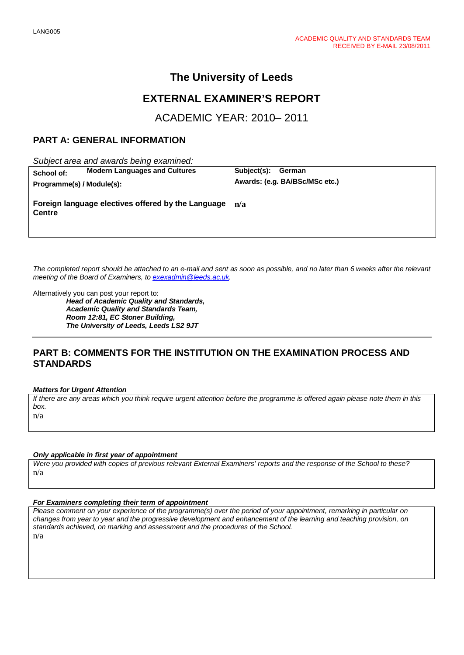# **The University of Leeds**

# **EXTERNAL EXAMINER'S REPORT**

ACADEMIC YEAR: 2010– 2011

## **PART A: GENERAL INFORMATION**

*Subject area and awards being examined:*

 $Programme(s) / Module(s):$ 

**School of: Modern Languages and Cultures Subject(s): German**<br>**Programme(s) / Module(s): Awards: (e.g. BA/BSc/MSc etc.)** 

**Foreign language electives offered by the Language Centre n/a**

*The completed report should be attached to an e-mail and sent as soon as possible, and no later than 6 weeks after the relevant meeting of the Board of Examiners, to [exexadmin@leeds.ac.uk.](mailto:exexadmin@leeds.ac.uk)*

Alternatively you can post your report to: *Head of Academic Quality and Standards, Academic Quality and Standards Team, Room 12:81, EC Stoner Building, The University of Leeds, Leeds LS2 9JT*

## **PART B: COMMENTS FOR THE INSTITUTION ON THE EXAMINATION PROCESS AND STANDARDS**

#### *Matters for Urgent Attention*

*If there are any areas which you think require urgent attention before the programme is offered again please note them in this box.* n/a

#### *Only applicable in first year of appointment*

*Were you provided with copies of previous relevant External Examiners' reports and the response of the School to these?*  n/a

#### *For Examiners completing their term of appointment*

*Please comment on your experience of the programme(s) over the period of your appointment, remarking in particular on changes from year to year and the progressive development and enhancement of the learning and teaching provision, on standards achieved, on marking and assessment and the procedures of the School.*  n/a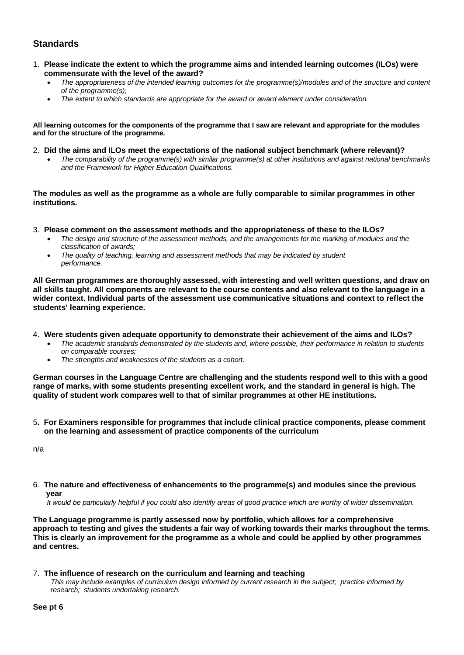# **Standards**

- 1. **Please indicate the extent to which the programme aims and intended learning outcomes (ILOs) were commensurate with the level of the award?**
	- *The appropriateness of the intended learning outcomes for the programme(s)/modules and of the structure and content of the programme(s);*
	- *The extent to which standards are appropriate for the award or award element under consideration.*

**All learning outcomes for the components of the programme that I saw are relevant and appropriate for the modules and for the structure of the programme.** 

- 2. **Did the aims and ILOs meet the expectations of the national subject benchmark (where relevant)?**
	- *The comparability of the programme(s) with similar programme(s) at other institutions and against national benchmarks and the Framework for Higher Education Qualifications.*

**The modules as well as the programme as a whole are fully comparable to similar programmes in other institutions.**

3. **Please comment on the assessment methods and the appropriateness of these to the ILOs?**

- *The design and structure of the assessment methods, and the arrangements for the marking of modules and the classification of awards;*
- *The quality of teaching, learning and assessment methods that may be indicated by student performance.*

**All German programmes are thoroughly assessed, with interesting and well written questions, and draw on all skills taught. All components are relevant to the course contents and also relevant to the language in a wider context. Individual parts of the assessment use communicative situations and context to reflect the students' learning experience.** 

- 4. **Were students given adequate opportunity to demonstrate their achievement of the aims and ILOs?**
	- *The academic standards demonstrated by the students and, where possible, their performance in relation to students on comparable courses;*
	- *The strengths and weaknesses of the students as a cohort.*

**German courses in the Language Centre are challenging and the students respond well to this with a good range of marks, with some students presenting excellent work, and the standard in general is high. The quality of student work compares well to that of similar programmes at other HE institutions.**

5**. For Examiners responsible for programmes that include clinical practice components, please comment on the learning and assessment of practice components of the curriculum**

n/a

6*.* **The nature and effectiveness of enhancements to the programme(s) and modules since the previous year**

 *It would be particularly helpful if you could also identify areas of good practice which are worthy of wider dissemination.* 

**The Language programme is partly assessed now by portfolio, which allows for a comprehensive approach to testing and gives the students a fair way of working towards their marks throughout the terms. This is clearly an improvement for the programme as a whole and could be applied by other programmes and centres.** 

#### 7.**The influence of research on the curriculum and learning and teaching**

 *This may include examples of curriculum design informed by current research in the subject; practice informed by research; students undertaking research.*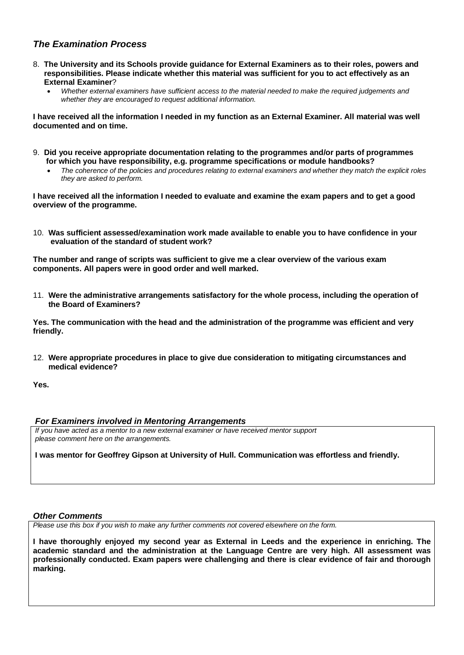## *The Examination Process*

- 8. **The University and its Schools provide guidance for External Examiners as to their roles, powers and responsibilities. Please indicate whether this material was sufficient for you to act effectively as an External Examiner**?
	- *Whether external examiners have sufficient access to the material needed to make the required judgements and whether they are encouraged to request additional information.*

**I have received all the information I needed in my function as an External Examiner. All material was well documented and on time.**

- 9. **Did you receive appropriate documentation relating to the programmes and/or parts of programmes for which you have responsibility, e.g. programme specifications or module handbooks?**
	- *The coherence of the policies and procedures relating to external examiners and whether they match the explicit roles they are asked to perform.*

**I have received all the information I needed to evaluate and examine the exam papers and to get a good overview of the programme.** 

10. **Was sufficient assessed/examination work made available to enable you to have confidence in your evaluation of the standard of student work?**

**The number and range of scripts was sufficient to give me a clear overview of the various exam components. All papers were in good order and well marked.** 

11. **Were the administrative arrangements satisfactory for the whole process, including the operation of the Board of Examiners?**

**Yes. The communication with the head and the administration of the programme was efficient and very friendly.**

12. **Were appropriate procedures in place to give due consideration to mitigating circumstances and medical evidence?**

**Yes.**

#### *For Examiners involved in Mentoring Arrangements*

*If you have acted as a mentor to a new external examiner or have received mentor support please comment here on the arrangements.*

**I was mentor for Geoffrey Gipson at University of Hull. Communication was effortless and friendly.**

#### *Other Comments*

*Please use this box if you wish to make any further comments not covered elsewhere on the form.*

**I have thoroughly enjoyed my second year as External in Leeds and the experience in enriching. The academic standard and the administration at the Language Centre are very high. All assessment was professionally conducted. Exam papers were challenging and there is clear evidence of fair and thorough marking.**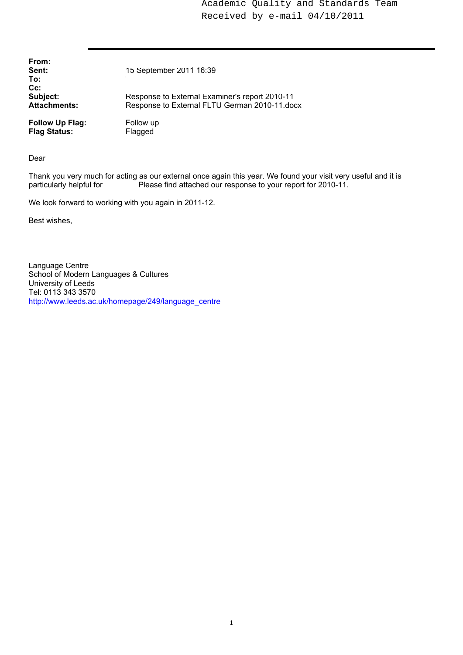Academic Quality and Standards Team Received by e-mail 04/10/2011

| From:<br>Sent:<br>To:                         | 15 September 2011 16:39                                                                         |
|-----------------------------------------------|-------------------------------------------------------------------------------------------------|
| $Cc$ :<br>Subject:<br><b>Attachments:</b>     | Response to External Examiner's report 2010-11<br>Response to External FLTU German 2010-11.docx |
| <b>Follow Up Flag:</b><br><b>Flag Status:</b> | Follow up<br>Flagged                                                                            |

Dear

Thank you very much for acting as our external once again this year. We found your visit very useful and it is particularly helpful for **Prease find attached our response to your report for 2010-11**. Please find attached our response to your report for 2010-11.

We look forward to working with you again in 2011-12.

Best wishes,

Language Centre School of Modern Languages & Cultures University of Leeds Tel: 0113 343 3570 http://www.leeds.ac.uk/homepage/249/language\_centre